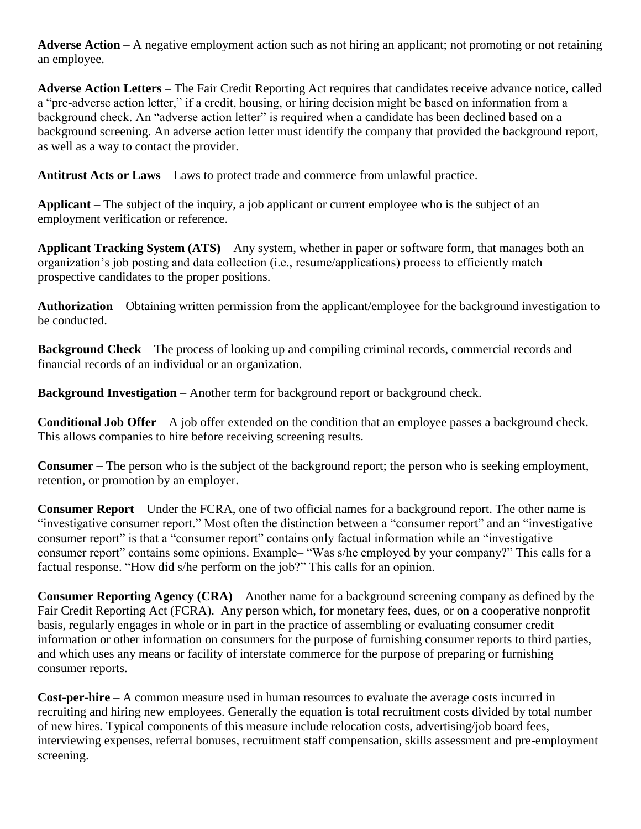**Adverse Action** – A negative employment action such as not hiring an applicant; not promoting or not retaining an employee.

**Adverse Action Letters** – The Fair Credit Reporting Act requires that candidates receive advance notice, called a "pre-adverse action letter," if a credit, housing, or hiring decision might be based on information from a background check. An "adverse action letter" is required when a candidate has been declined based on a background screening. An adverse action letter must identify the company that provided the background report, as well as a way to contact the provider.

**Antitrust Acts or Laws** – Laws to protect trade and commerce from unlawful practice.

**Applicant** – The subject of the inquiry, a job applicant or current employee who is the subject of an employment verification or reference.

**Applicant Tracking System (ATS)** – Any system, whether in paper or software form, that manages both an organization's job posting and data collection (i.e., resume/applications) process to efficiently match prospective candidates to the proper positions.

**Authorization** – Obtaining written permission from the applicant/employee for the background investigation to be conducted.

**Background Check** – The process of looking up and compiling criminal records, commercial records and financial records of an individual or an organization.

**Background Investigation** – Another term for background report or background check.

**Conditional Job Offer** – A job offer extended on the condition that an employee passes a background check. This allows companies to hire before receiving screening results.

**Consumer** – The person who is the subject of the background report; the person who is seeking employment, retention, or promotion by an employer.

**Consumer Report** – Under the FCRA, one of two official names for a background report. The other name is "investigative consumer report." Most often the distinction between a "consumer report" and an "investigative consumer report" is that a "consumer report" contains only factual information while an "investigative consumer report" contains some opinions. Example– "Was s/he employed by your company?" This calls for a factual response. "How did s/he perform on the job?" This calls for an opinion.

**Consumer Reporting Agency (CRA)** – Another name for a background screening company as defined by the Fair Credit Reporting Act (FCRA). Any person which, for monetary fees, dues, or on a cooperative nonprofit basis, regularly engages in whole or in part in the practice of assembling or evaluating consumer credit information or other information on consumers for the purpose of furnishing consumer reports to third parties, and which uses any means or facility of interstate commerce for the purpose of preparing or furnishing consumer reports.

**Cost-per-hire** – A common measure used in human resources to evaluate the average costs incurred in recruiting and hiring new employees. Generally the equation is total recruitment costs divided by total number of new hires. Typical components of this measure include relocation costs, advertising/job board fees, interviewing expenses, referral bonuses, recruitment staff compensation, skills assessment and pre-employment screening.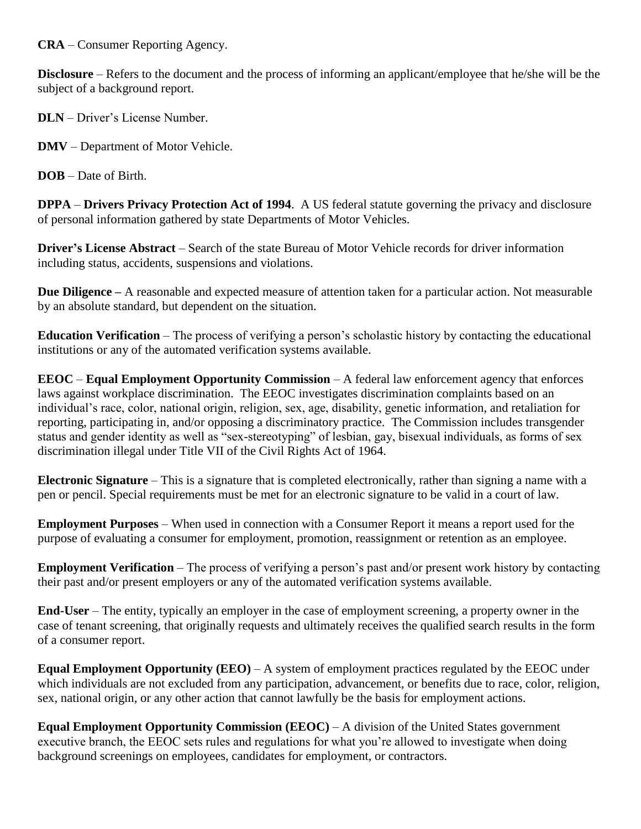**CRA** – Consumer Reporting Agency.

**Disclosure** – Refers to the document and the process of informing an applicant/employee that he/she will be the subject of a background report.

**DLN** – Driver's License Number.

**DMV** – Department of Motor Vehicle.

**DOB** – Date of Birth.

**DPPA** – **Drivers Privacy Protection Act of 1994**. A US federal statute governing the privacy and disclosure of personal information gathered by state Departments of Motor Vehicles.

**Driver's License Abstract** – Search of the state Bureau of Motor Vehicle records for driver information including status, accidents, suspensions and violations.

**Due Diligence –** A reasonable and expected measure of attention taken for a particular action. Not measurable by an absolute standard, but dependent on the situation.

**Education Verification** – The process of verifying a person's scholastic history by contacting the educational institutions or any of the automated verification systems available.

**EEOC** – **Equal Employment Opportunity Commission** – A federal law enforcement agency that enforces laws against workplace discrimination. The EEOC investigates discrimination complaints based on an individual's race, color, national origin, religion, sex, age, disability, genetic information, and retaliation for reporting, participating in, and/or opposing a discriminatory practice. The Commission includes transgender status and gender identity as well as "sex-stereotyping" of lesbian, gay, bisexual individuals, as forms of sex discrimination illegal under Title VII of the Civil Rights Act of 1964.

**Electronic Signature** – This is a signature that is completed electronically, rather than signing a name with a pen or pencil. Special requirements must be met for an electronic signature to be valid in a court of law.

**Employment Purposes** – When used in connection with a Consumer Report it means a report used for the purpose of evaluating a consumer for employment, promotion, reassignment or retention as an employee.

**Employment Verification** – The process of verifying a person's past and/or present work history by contacting their past and/or present employers or any of the automated verification systems available.

**End-User** – The entity, typically an employer in the case of employment screening, a property owner in the case of tenant screening, that originally requests and ultimately receives the qualified search results in the form of a consumer report.

**Equal Employment Opportunity (EEO)** – A system of employment practices regulated by the EEOC under which individuals are not excluded from any participation, advancement, or benefits due to race, color, religion, sex, national origin, or any other action that cannot lawfully be the basis for employment actions.

**Equal Employment Opportunity Commission (EEOC) – A division of the United States government** executive branch, the EEOC sets rules and regulations for what you're allowed to investigate when doing background screenings on employees, candidates for employment, or contractors.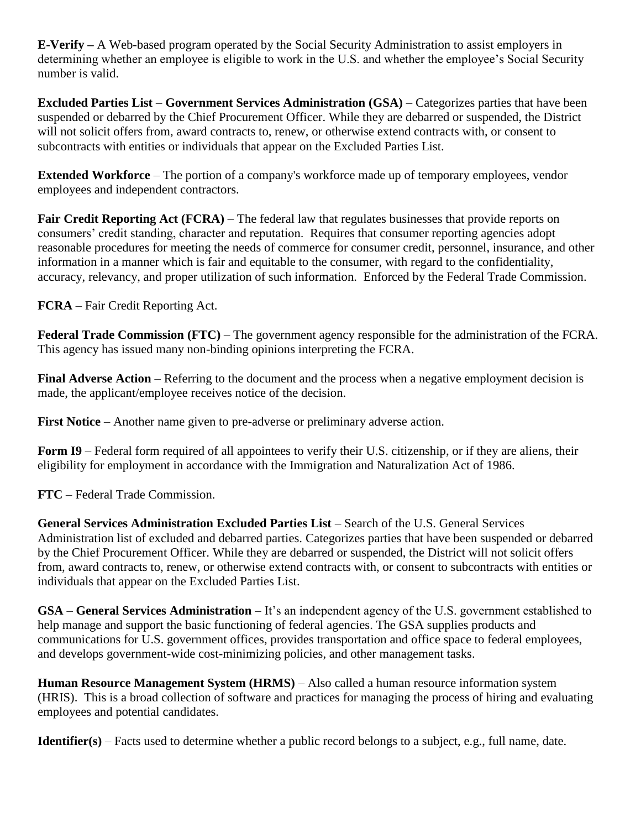**E-Verify –** A Web-based program operated by the Social Security Administration to assist employers in determining whether an employee is eligible to work in the U.S. and whether the employee's Social Security number is valid.

**Excluded Parties List** – **Government Services Administration (GSA)** – Categorizes parties that have been suspended or debarred by the Chief Procurement Officer. While they are debarred or suspended, the District will not solicit offers from, award contracts to, renew, or otherwise extend contracts with, or consent to subcontracts with entities or individuals that appear on the Excluded Parties List.

**Extended Workforce** – The portion of a company's workforce made up of temporary employees, vendor employees and independent contractors.

**Fair Credit Reporting Act (FCRA)** – The federal law that regulates businesses that provide reports on consumers' credit standing, character and reputation. Requires that consumer reporting agencies adopt reasonable procedures for meeting the needs of commerce for consumer credit, personnel, insurance, and other information in a manner which is fair and equitable to the consumer, with regard to the confidentiality, accuracy, relevancy, and proper utilization of such information. Enforced by the Federal Trade Commission.

**FCRA** – Fair Credit Reporting Act.

**Federal Trade Commission (FTC)** – The government agency responsible for the administration of the FCRA. This agency has issued many non-binding opinions interpreting the FCRA.

**Final Adverse Action** – Referring to the document and the process when a negative employment decision is made, the applicant/employee receives notice of the decision.

**First Notice** – Another name given to pre-adverse or preliminary adverse action.

**Form I9** – Federal form required of all appointees to verify their U.S. citizenship, or if they are aliens, their eligibility for employment in accordance with the Immigration and Naturalization Act of 1986.

**FTC** – Federal Trade Commission.

**General Services Administration Excluded Parties List** – Search of the U.S. General Services Administration list of excluded and debarred parties. Categorizes parties that have been suspended or debarred by the Chief Procurement Officer. While they are debarred or suspended, the District will not solicit offers from, award contracts to, renew, or otherwise extend contracts with, or consent to subcontracts with entities or individuals that appear on the Excluded Parties List.

**GSA** – **General Services Administration** – It's an independent agency of the U.S. government established to help manage and support the basic functioning of federal agencies. The GSA supplies products and communications for U.S. government offices, provides transportation and office space to federal employees, and develops government-wide cost-minimizing policies, and other management tasks.

**Human Resource Management System (HRMS)** – Also called a human resource information system (HRIS). This is a broad collection of software and practices for managing the process of hiring and evaluating employees and potential candidates.

**Identifier(s)** – Facts used to determine whether a public record belongs to a subject, e.g., full name, date.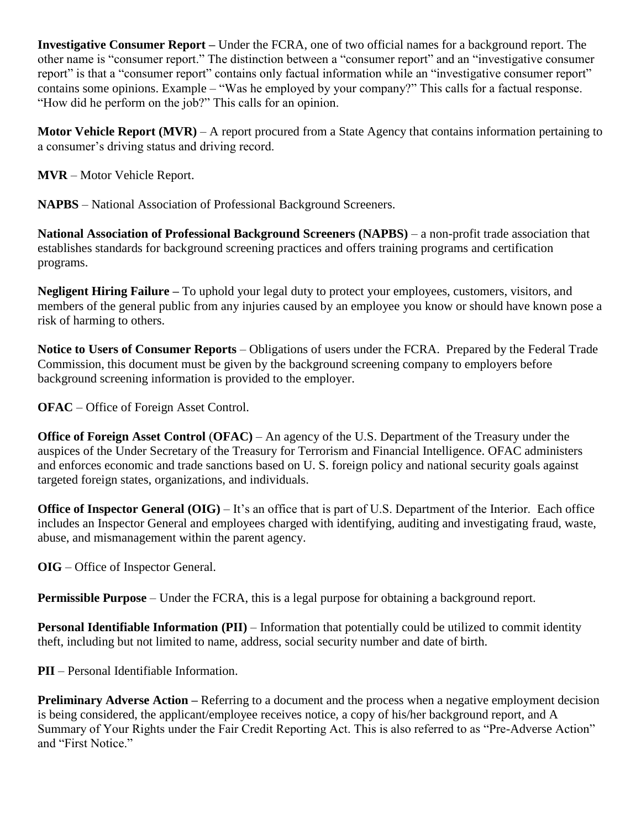**Investigative Consumer Report –** Under the FCRA, one of two official names for a background report. The other name is "consumer report." The distinction between a "consumer report" and an "investigative consumer report" is that a "consumer report" contains only factual information while an "investigative consumer report" contains some opinions. Example – "Was he employed by your company?" This calls for a factual response. "How did he perform on the job?" This calls for an opinion.

**Motor Vehicle Report (MVR)** – A report procured from a State Agency that contains information pertaining to a consumer's driving status and driving record.

**MVR** – Motor Vehicle Report.

**NAPBS** – National Association of Professional Background Screeners.

**National Association of Professional Background Screeners (NAPBS)** – a non-profit trade association that establishes standards for background screening practices and offers training programs and certification programs.

**Negligent Hiring Failure –** To uphold your legal duty to protect your employees, customers, visitors, and members of the general public from any injuries caused by an employee you know or should have known pose a risk of harming to others.

**Notice to Users of Consumer Reports** – Obligations of users under the FCRA. Prepared by the Federal Trade Commission, this document must be given by the background screening company to employers before background screening information is provided to the employer.

**OFAC** – Office of Foreign Asset Control.

**Office of Foreign Asset Control** (**OFAC)** – An agency of the U.S. Department of the Treasury under the auspices of the Under Secretary of the Treasury for Terrorism and Financial Intelligence. OFAC administers and enforces economic and trade sanctions based on U. S. foreign policy and national security goals against targeted foreign states, organizations, and individuals.

**Office of Inspector General (OIG)** – It's an office that is part of U.S. Department of the Interior. Each office includes an Inspector General and employees charged with identifying, auditing and investigating fraud, waste, abuse, and mismanagement within the parent agency.

**OIG** – Office of Inspector General.

**Permissible Purpose** – Under the FCRA, this is a legal purpose for obtaining a background report.

**Personal Identifiable Information (PII)** – Information that potentially could be utilized to commit identity theft, including but not limited to name, address, social security number and date of birth.

**PII** – Personal Identifiable Information.

**Preliminary Adverse Action** – Referring to a document and the process when a negative employment decision is being considered, the applicant/employee receives notice, a copy of his/her background report, and A Summary of Your Rights under the Fair Credit Reporting Act. This is also referred to as "Pre-Adverse Action" and "First Notice."